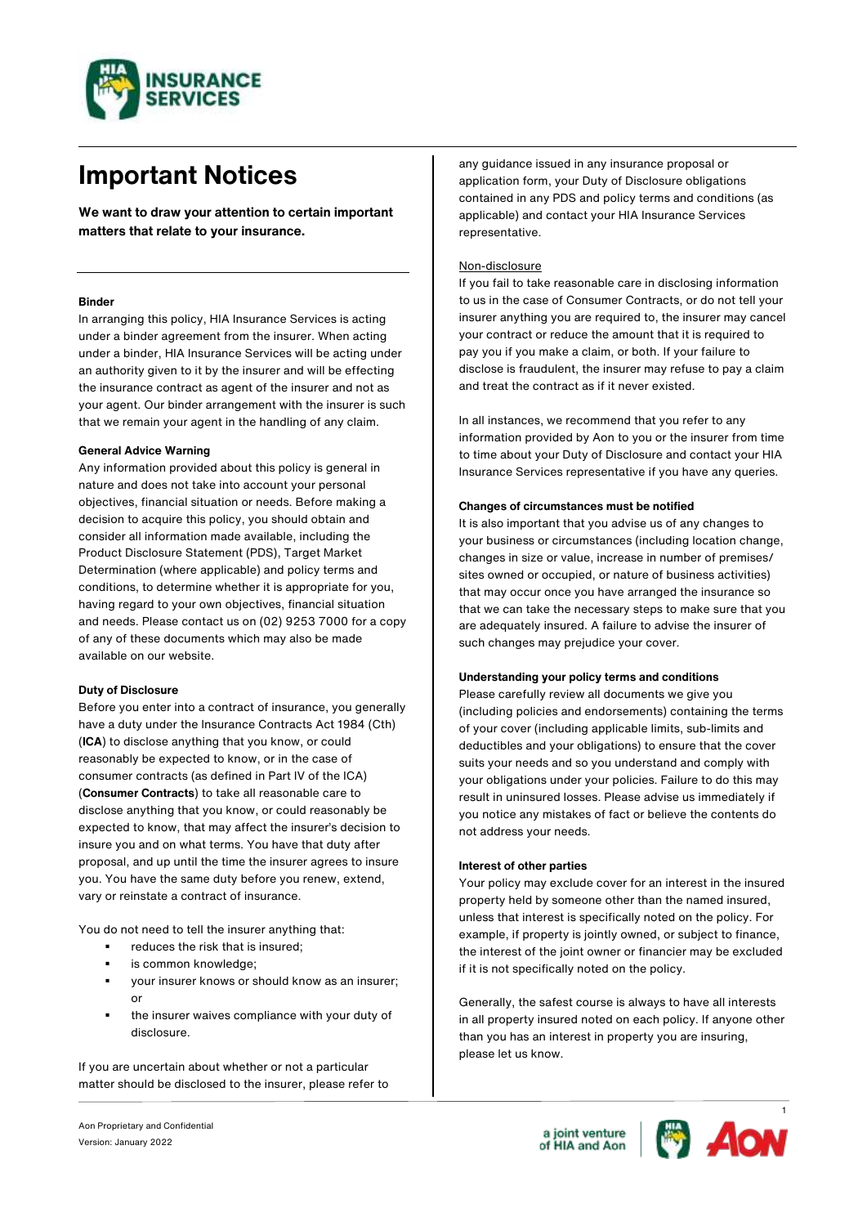

# **Important Notices**

**We want to draw your attention to certain important matters that relate to your insurance.**

# **Binder**

In arranging this policy, HIA Insurance Services is acting under a binder agreement from the insurer. When acting under a binder, HIA Insurance Services will be acting under an authority given to it by the insurer and will be effecting the insurance contract as agent of the insurer and not as your agent. Our binder arrangement with the insurer is such that we remain your agent in the handling of any claim.

# **General Advice Warning**

Any information provided about this policy is general in nature and does not take into account your personal objectives, financial situation or needs. Before making a decision to acquire this policy, you should obtain and consider all information made available, including the Product Disclosure Statement (PDS), Target Market Determination (where applicable) and policy terms and conditions, to determine whether it is appropriate for you, having regard to your own objectives, financial situation and needs. Please contact us on (02) 9253 7000 for a copy of any of these documents which may also be made available on our website.

## **Duty of Disclosure**

Before you enter into a contract of insurance, you generally have a duty under the Insurance Contracts Act 1984 (Cth) (**ICA**) to disclose anything that you know, or could reasonably be expected to know, or in the case of consumer contracts (as defined in Part IV of the ICA) (**Consumer Contracts**) to take all reasonable care to disclose anything that you know, or could reasonably be expected to know, that may affect the insurer's decision to insure you and on what terms. You have that duty after proposal, and up until the time the insurer agrees to insure you. You have the same duty before you renew, extend, vary or reinstate a contract of insurance.

You do not need to tell the insurer anything that:

- reduces the risk that is insured;
- is common knowledge;
- your insurer knows or should know as an insurer; or
- the insurer waives compliance with your duty of disclosure.

If you are uncertain about whether or not a particular matter should be disclosed to the insurer, please refer to any guidance issued in any insurance proposal or application form, your Duty of Disclosure obligations contained in any PDS and policy terms and conditions (as applicable) and contact your HIA Insurance Services representative.

# Non-disclosure

If you fail to take reasonable care in disclosing information to us in the case of Consumer Contracts, or do not tell your insurer anything you are required to, the insurer may cancel your contract or reduce the amount that it is required to pay you if you make a claim, or both. If your failure to disclose is fraudulent, the insurer may refuse to pay a claim and treat the contract as if it never existed.

In all instances, we recommend that you refer to any information provided by Aon to you or the insurer from time to time about your Duty of Disclosure and contact your HIA Insurance Services representative if you have any queries.

# **Changes of circumstances must be notified**

It is also important that you advise us of any changes to your business or circumstances (including location change, changes in size or value, increase in number of premises/ sites owned or occupied, or nature of business activities) that may occur once you have arranged the insurance so that we can take the necessary steps to make sure that you are adequately insured. A failure to advise the insurer of such changes may prejudice your cover.

## **Understanding your policy terms and conditions**

Please carefully review all documents we give you (including policies and endorsements) containing the terms of your cover (including applicable limits, sub-limits and deductibles and your obligations) to ensure that the cover suits your needs and so you understand and comply with your obligations under your policies. Failure to do this may result in uninsured losses. Please advise us immediately if you notice any mistakes of fact or believe the contents do not address your needs.

# **Interest of other parties**

Your policy may exclude cover for an interest in the insured property held by someone other than the named insured, unless that interest is specifically noted on the policy. For example, if property is jointly owned, or subject to finance, the interest of the joint owner or financier may be excluded if it is not specifically noted on the policy.

Generally, the safest course is always to have all interests in all property insured noted on each policy. If anyone other than you has an interest in property you are insuring, please let us know.



1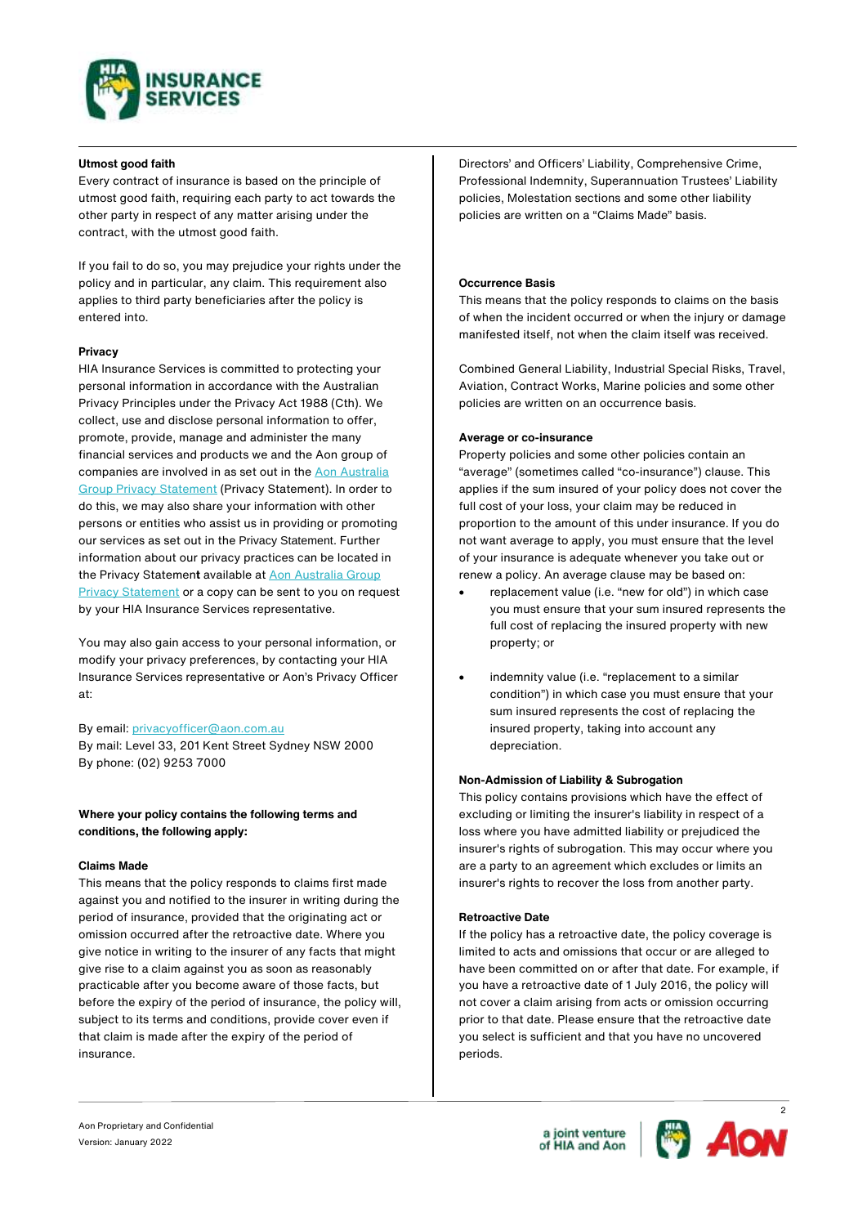

## **Utmost good faith**

Every contract of insurance is based on the principle of utmost good faith, requiring each party to act towards the other party in respect of any matter arising under the contract, with the utmost good faith.

If you fail to do so, you may prejudice your rights under the policy and in particular, any claim. This requirement also applies to third party beneficiaries after the policy is entered into.

# **Privacy**

HIA Insurance Services is committed to protecting your personal information in accordance with the Australian Privacy Principles under the Privacy Act 1988 (Cth). We collect, use and disclose personal information to offer, promote, provide, manage and administer the many financial services and products we and the Aon group of companies are involved in as set out in th[e Aon Australia](https://www.aon.com.au/australia/legal/privacy-policy.jsp)  [Group Privacy Statement](https://www.aon.com.au/australia/legal/privacy-policy.jsp) (Privacy Statement). In order to do this, we may also share your information with other persons or entities who assist us in providing or promoting our services as set out in the [Privacy Statement](https://www.aon.com.au/australia/legal/privacy-policy.jsp?_ga=2.103999808.1327233814.1635397459-1561684812.1635149679&_gac=1.195824152.1635397459.EAIaIQobChMI07fRoKrs8wIVqZNmAh0ucAhEEAAYASAAEgL4rPD_BwE). Further information about our privacy practices can be located in the Privacy Statemen**t** available at Aon [Australia Group](https://www.aon.com.au/australia/legal/privacy-policy.jsp)  **[Privacy Statement](https://www.aon.com.au/australia/legal/privacy-policy.jsp) or a copy can be sent to you on request** by your HIA Insurance Services representative.

You may also gain access to your personal information, or modify your privacy preferences, by contacting your HIA Insurance Services representative or Aon's Privacy Officer at:

## By email: [privacyofficer@aon.com.au](mailto:privacyofficer@aon.com.au)

By mail: Level 33, 201 Kent Street Sydney NSW 2000 By phone: (02) 9253 7000

**Where your policy contains the following terms and conditions, the following apply:**

# **Claims Made**

This means that the policy responds to claims first made against you and notified to the insurer in writing during the period of insurance, provided that the originating act or omission occurred after the retroactive date. Where you give notice in writing to the insurer of any facts that might give rise to a claim against you as soon as reasonably practicable after you become aware of those facts, but before the expiry of the period of insurance, the policy will, subject to its terms and conditions, provide cover even if that claim is made after the expiry of the period of insurance.

Directors' and Officers' Liability, Comprehensive Crime, Professional Indemnity, Superannuation Trustees' Liability policies, Molestation sections and some other liability policies are written on a "Claims Made" basis.

# **Occurrence Basis**

This means that the policy responds to claims on the basis of when the incident occurred or when the injury or damage manifested itself, not when the claim itself was received.

Combined General Liability, Industrial Special Risks, Travel, Aviation, Contract Works, Marine policies and some other policies are written on an occurrence basis.

## **Average or co-insurance**

Property policies and some other policies contain an "average" (sometimes called "co-insurance") clause. This applies if the sum insured of your policy does not cover the full cost of your loss, your claim may be reduced in proportion to the amount of this under insurance. If you do not want average to apply, you must ensure that the level of your insurance is adequate whenever you take out or renew a policy. An average clause may be based on:

- replacement value (i.e. "new for old") in which case you must ensure that your sum insured represents the full cost of replacing the insured property with new property; or
- indemnity value (i.e. "replacement to a similar condition") in which case you must ensure that your sum insured represents the cost of replacing the insured property, taking into account any depreciation.

## **Non-Admission of Liability & Subrogation**

This policy contains provisions which have the effect of excluding or limiting the insurer's liability in respect of a loss where you have admitted liability or prejudiced the insurer's rights of subrogation. This may occur where you are a party to an agreement which excludes or limits an insurer's rights to recover the loss from another party.

## **Retroactive Date**

If the policy has a retroactive date, the policy coverage is limited to acts and omissions that occur or are alleged to have been committed on or after that date. For example, if you have a retroactive date of 1 July 2016, the policy will not cover a claim arising from acts or omission occurring prior to that date. Please ensure that the retroactive date you select is sufficient and that you have no uncovered periods.



2